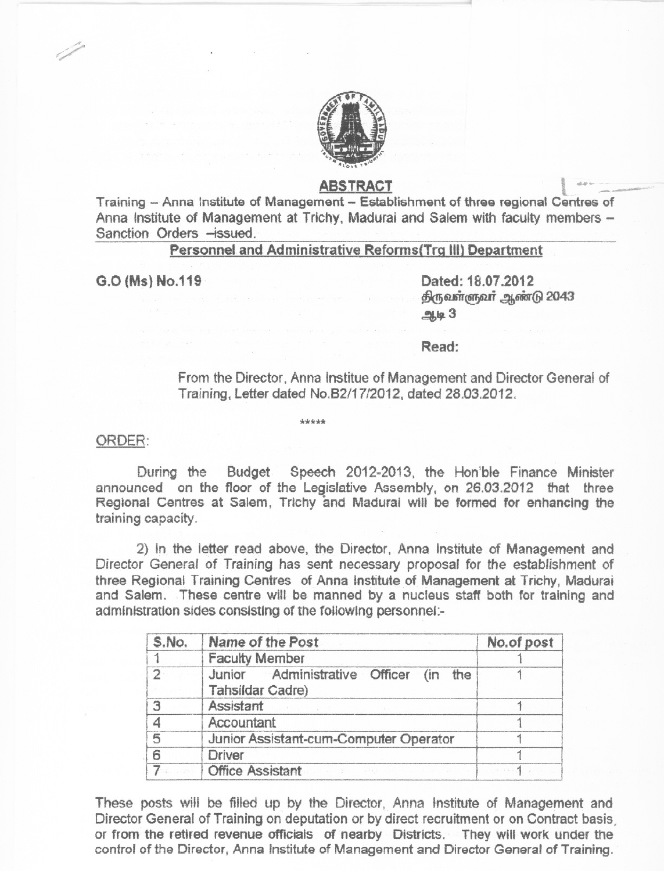

ABSTRACT<br>ABSTRACT<br>Andrew Establishment of three regional Contractor Training - Anna Institute of Management - Establishment of three regional Centres of Anna Institute of Management at Trichy, Madurai and Salem with faculty members -Sanction Orders - issued.

## Personnel and Administrative Reforms(Trg III) Department

 $\sqrt{2}$ 

G.O (Ms) No.119 Dated: 18.07.2012 <u>திருவள்ளுவர் ஆண்டு 2043</u>  $-2$   $-3$ 

..

Read:

From the Director. Anna Institue of Management and DirectorGeneral of Training, Letter dated No.B2/17/2012, dated 28.03.2012.

\*"'....

### ORDER:

During the Budget Speech 2012-2013. the Hon'ble Finance Minister announced on the floor of the Legislative Assembly, on 26.03.2012 that three Regional Centres at Salem, Trichy and Madurai will be formed for enhancing the training capacity.

2) In the letter read above. the Director, Anna Institute of Management and Director General of Training has sent necessary proposal for the establishment of three Regional Training Centres of Anna Institute of Management at Trichy, Madurai and Salem. These centre will be manned by a nucleus staff both for training and administration sides consisting of the following personnel:-

| S.No. | Name of the Post                                                                                                                          | No.of post |
|-------|-------------------------------------------------------------------------------------------------------------------------------------------|------------|
|       | <b>Faculty Member</b>                                                                                                                     |            |
|       | Junior Administrative Officer (in the<br>Tahsildar Cadre)                                                                                 |            |
| 3     | Assistant                                                                                                                                 |            |
|       | Accountant                                                                                                                                |            |
| 5     | Junior Assistant-cum-Computer Operator                                                                                                    |            |
| 6     | <b>Driver</b>                                                                                                                             |            |
|       | <b>Office Assistant</b><br>동시 1000 - 1993 - 1993 - 1994 - 1995 - 1996 - 1997 - 1998 - 1999 - 1999 - 1999 - 1999 - 1999 - 1999 - 1999 - 19 |            |

These posts will be filled up by the Director, Anna Institute of Management and Director General of Training on deputation or by direct recruitment or on Contract basis, or from the retired revenue officials of nearby Districts. They will work under the control of the Director, Anna Institute of Management and Director General of Training.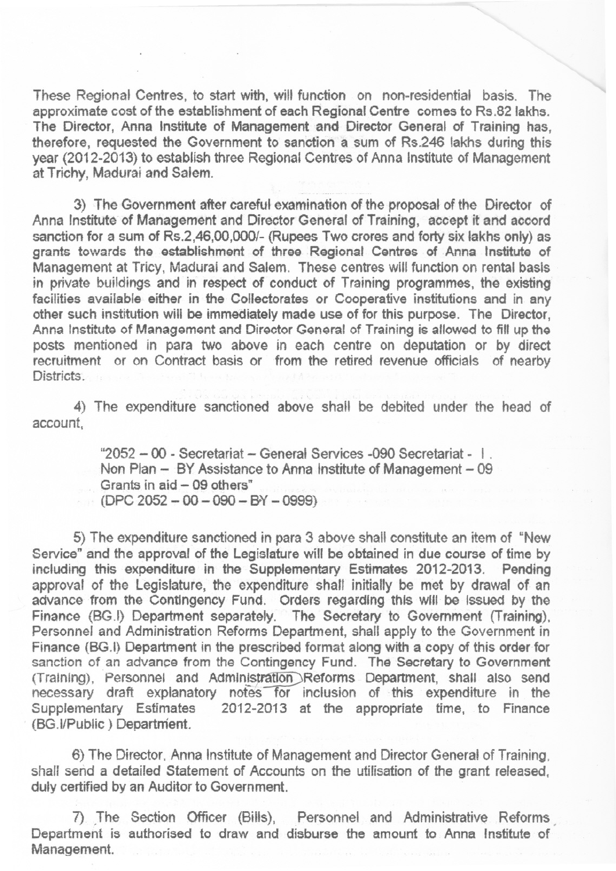These Regional Centres, to start with, will function on non-residential basis. The approximate cost of the establishment of each Regional Centre comes to Rs.82 lakhs. The Director, Anna Institute of Management and Director General of Training has, therefore, requested the Government to sanction a sum of Rs.246 lakhs during this vear (2012-2013) to establish three Regional Centres of Anna Institute of Management at Trichy, Madurai and Salem.

3) The Government after careful examination of the proposal of the Director of Anna Institute of Management and Director General of Training, accept it and accord sanction for a sum of Rs.2,46,00,000/- (Rupees Two crores and forty six lakhs only) as grants towards the establishment of three Regional Centres of Anna Institute of Management at Tricy, Madurai and Salem. These centres will function on rental basis in private buildings and in respect of conduct of Training programmes, the existing facilities available either in the Collectorates or Cooperative institutions and in any other such institution will be immediately made use of for this purpose. The Director, Anna Institute of Management and Director General of Training is allowed to fill up the posts mentioned in para two above in each centre on deputation or by direct recruitment or on Contract basis or from the retired revenue officials of nearby<br>Districts

4) The expenditure sanctioned above shall be debited under the head of account,

> "2052 - 00 - Secretariat - General Services -090 Secretariat - I. Non Plan - BY Assistance to Anna Institute of Management - 09 Grants in aid - 09 others" (OPC <sup>2052</sup> - <sup>00</sup> - <sup>090</sup> - BY - 0999)

5) The expenditure sanctioned in para 3 above shall constitute an item of "New Service" and the approval of the Legislature will be obtained in due course of time by including this expenditure in the Supplementary Estimates 2012-2013. Pending approval of the Legislature, the expenditure shall initially be met by drawal of an advance from the Contingency Fund. Orders regarding this will be issued by the Finance (BG.I) Department separately. The Secretary to Government (Training), Personnel and Administration Reforms Department, shall apply to the Government in Finance (BG.I) Department in the prescribed format along with a copy of this order for sanction of an advance from the Contingency Fund. The Secretary to Government (Training), Personnel and Administration Reforms Department, shall also send necessary draft explanatory notes for inclusion of this expenditure in the Supplementary Estimates 2012-2013 at the appropriate time, to Finance (BG.l/Public) Department.

6) The Director, Anna Institute of Management and Director General of Training, shall send a detailed Statement of Accounts on the utilisation of the grant released, duly certified by an Auditor to Government.

7). The Section Officer (Bills), Personnel and Administrative Reforms Department is authorised to draw and disburse the amount to Anna Institute of Management.